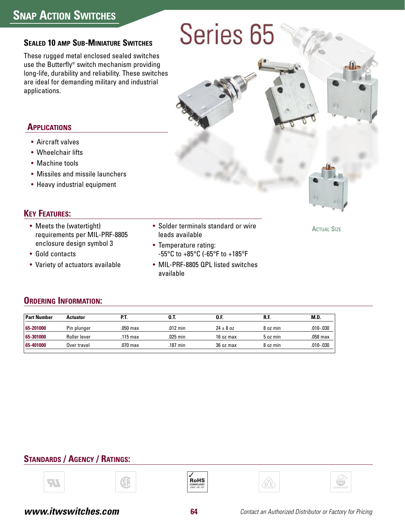# **SEALED 10 AMP SUB-MINIATURE SWITCHES**

These rugged metal enclosed sealed switches use the Butterfly® switch mechanism providing long-life, durability and reliability. These switches are ideal for demanding military and industrial applications.

# Series 65

# **APPLICATIONS**

- Aircraft valves
- Wheelchair lifts
- Machine tools
- Missiles and missile launchers
- Heavy industrial equipment

# **KEY FEATURES:**

- Meets the (watertight) requirements per MIL-PRF-8805 enclosure design symbol 3
- Gold contacts
- Variety of actuators available
- Solder terminals standard or wire leads available
- Temperature rating: -55°C to +85°C (-65°F to +185°F
- MIL-PRF-8805 QPL listed switches available

**ACTUAL SIZE** 

#### **ORDERING INFORMATION:**

| <b>Part Number</b> | <b>Actuator</b> | PJ.      | O.T.     | O.F           | R.F      | M.D.          |
|--------------------|-----------------|----------|----------|---------------|----------|---------------|
| 65-201000          | Pin plunger     | .050 max | .012 min | $24 \pm 8$ oz | 8 oz min | $.010 - .030$ |
| 65-301000          | Roller lever    | 115 max  | .025 min | 16 oz max     | 5 oz min | .058 max      |
| 65-401000          | Over travel     | .070 max | .187 min | 36 oz max     | 8 oz min | $.010 - .030$ |

# **STANDARDS / AGENCY / RATINGS:**